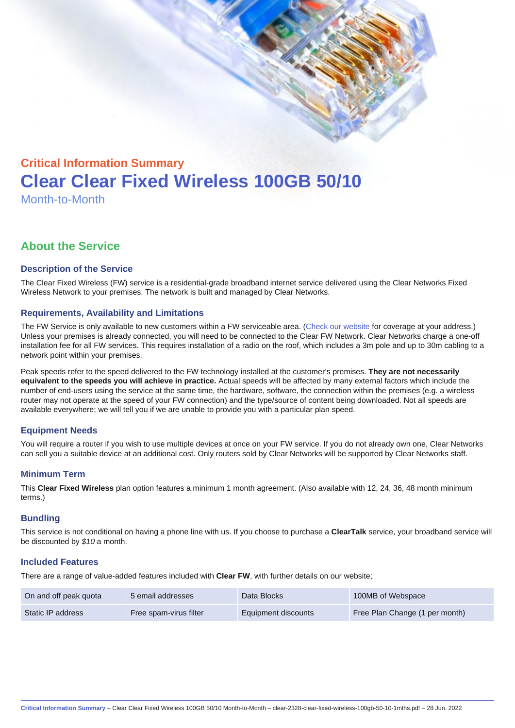# Critical Information Summary Clear Clear Fixed Wireless 100GB 50/10 Month-to-Month

# About the Service

#### Description of the Service

The Clear Fixed Wireless (FW) service is a residential-grade broadband internet service delivered using the Clear Networks Fixed Wireless Network to your premises. The network is built and managed by Clear Networks.

#### Requirements, Availability and Limitations

The FW Service is only available to new customers within a FW serviceable area. ([Check our website](https://www.clear.com.au/business/fixed-wireless/) for coverage at your address.) Unless your premises is already connected, you will need to be connected to the Clear FW Network. Clear Networks charge a one-off installation fee for all FW services. This requires installation of a radio on the roof, which includes a 3m pole and up to 30m cabling to a network point within your premises.

Peak speeds refer to the speed delivered to the FW technology installed at the customer's premises. They are not necessarily equivalent to the speeds you will achieve in practice. Actual speeds will be affected by many external factors which include the number of end-users using the service at the same time, the hardware, software, the connection within the premises (e.g. a wireless router may not operate at the speed of your FW connection) and the type/source of content being downloaded. Not all speeds are available everywhere; we will tell you if we are unable to provide you with a particular plan speed.

# Equipment Needs

You will require a router if you wish to use multiple devices at once on your FW service. If you do not already own one, Clear Networks can sell you a suitable device at an additional cost. Only routers sold by Clear Networks will be supported by Clear Networks staff.

#### Minimum Term

This Clear Fixed Wireless plan option features a minimum 1 month agreement. (Also available with 12, 24, 36, 48 month minimum terms.)

#### **Bundling**

This service is not conditional on having a phone line with us. If you choose to purchase a ClearTalk service, your broadband service will be discounted by \$10 a month.

#### Included Features

There are a range of value-added features included with Clear FW, with further details on our website;

| On and off peak quota | 5 email addresses      | Data Blocks         | 100MB of Webspace              |
|-----------------------|------------------------|---------------------|--------------------------------|
| Static IP address     | Free spam-virus filter | Equipment discounts | Free Plan Change (1 per month) |